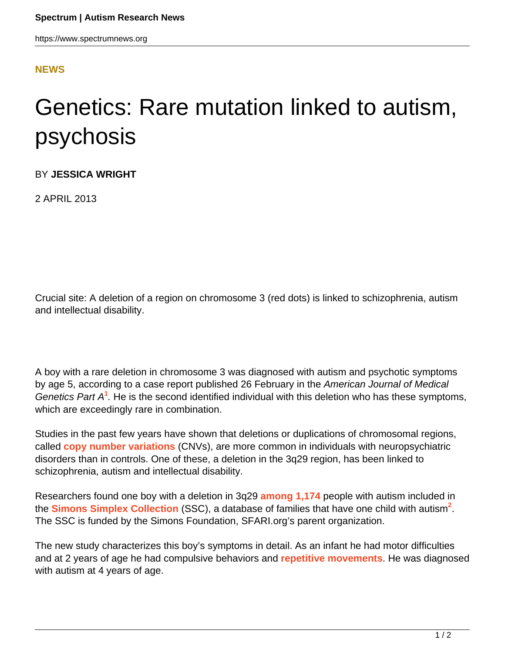## **[NEWS](HTTPS://WWW.SPECTRUMNEWS.ORG/NEWS/)**

## Genetics: Rare mutation linked to autism, psychosis

BY **JESSICA WRIGHT**

2 APRIL 2013

Crucial site: A deletion of a region on chromosome 3 (red dots) is linked to schizophrenia, autism and intellectual disability.

A boy with a rare deletion in chromosome 3 was diagnosed with autism and psychotic symptoms by age 5, according to a case report published 26 February in the American Journal of Medical Genetics Part A<sup>1</sup>. He is the second identified individual with this deletion who has these symptoms, which are exceedingly rare in combination.

Studies in the past few years have shown that deletions or duplications of chromosomal regions, called **[copy number variations](https://www.spectrumnews.org/wiki/copy-number-variation)** (CNVs), are more common in individuals with neuropsychiatric disorders than in controls. One of these, a deletion in the 3q29 region, has been linked to schizophrenia, autism and intellectual disability.

Researchers found one boy with a deletion in 3q29 **[among 1,174](../../news/2011/studies-find-high-rate-of-rare-new-mutations-in-autism)** people with autism included in the **[Simons Simplex Collection](../../../resources/simons-simplex-collection)** (SSC), a database of families that have one child with autism**<sup>2</sup>** . The SSC is funded by the Simons Foundation, SFARI.org's parent organization.

The new study characterizes this boy's symptoms in detail. As an infant he had motor difficulties and at 2 years of age he had compulsive behaviors and **[repetitive movements](../../../resources/sfari-wiki/repetitive-behavior)**. He was diagnosed with autism at 4 years of age.